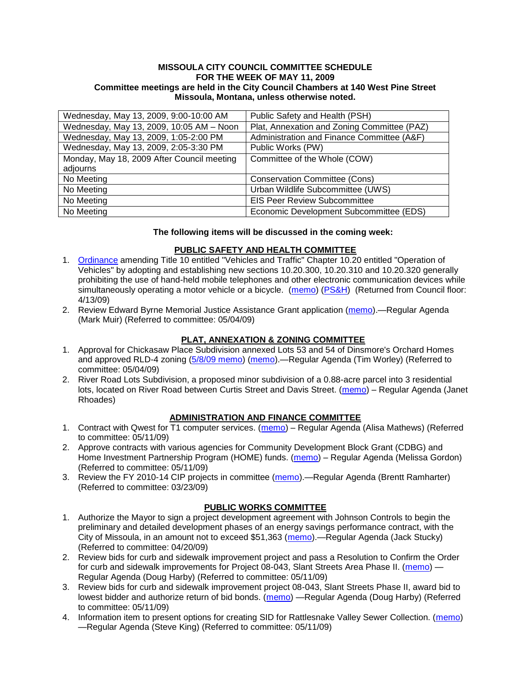#### **MISSOULA CITY COUNCIL COMMITTEE SCHEDULE FOR THE WEEK OF MAY 11, 2009 Committee meetings are held in the City Council Chambers at 140 West Pine Street Missoula, Montana, unless otherwise noted.**

| Wednesday, May 13, 2009, 9:00-10:00 AM     | Public Safety and Health (PSH)              |
|--------------------------------------------|---------------------------------------------|
| Wednesday, May 13, 2009, 10:05 AM - Noon   | Plat, Annexation and Zoning Committee (PAZ) |
| Wednesday, May 13, 2009, 1:05-2:00 PM      | Administration and Finance Committee (A&F)  |
| Wednesday, May 13, 2009, 2:05-3:30 PM      | Public Works (PW)                           |
| Monday, May 18, 2009 After Council meeting | Committee of the Whole (COW)                |
| adjourns                                   |                                             |
| No Meeting                                 | <b>Conservation Committee (Cons)</b>        |
| No Meeting                                 | Urban Wildlife Subcommittee (UWS)           |
| No Meeting                                 | <b>EIS Peer Review Subcommittee</b>         |
| No Meeting                                 | Economic Development Subcommittee (EDS)     |

#### **The following items will be discussed in the coming week:**

#### **PUBLIC SAFETY AND HEALTH COMMITTEE**

- 1. [Ordinance](ftp://ftp.ci.missoula.mt.us/Packets/Council/2009/2009-04-13/Public Hearings/090410CellPhone3rdDraft.pdf) amending Title 10 entitled "Vehicles and Traffic" Chapter 10.20 entitled "Operation of Vehicles" by adopting and establishing new sections 10.20.300, 10.20.310 and 10.20.320 generally prohibiting the use of hand-held mobile telephones and other electronic communication devices while simultaneously operating a motor vehicle or a bicycle. [\(memo\)](ftp://ftp.ci.missoula.mt.us/Packets/Council/2009/2009-03-09/Referrals/CellPhonesReferral.pdf) [\(PS&H\)](ftp://ftp.ci.missoula.mt.us/Packets/Council/2009/2009-03-23/090318psh.pdf) (Returned from Council floor: 4/13/09)
- 2. Review Edward Byrne Memorial Justice Assistance Grant application [\(memo\)](ftp://ftp.ci.missoula.mt.us/Packets/Council/2009/2009-05-04/Referrals/JAGRecovery_2009.pdf).—Regular Agenda (Mark Muir) (Referred to committee: 05/04/09)

### **PLAT, ANNEXATION & ZONING COMMITTEE**

- 1. Approval for Chickasaw Place Subdivision annexed Lots 53 and 54 of Dinsmore's Orchard Homes and approved RLD-4 zoning [\(5/8/09 memo\)](ftp://ftp.ci.missoula.mt.us/Packets/Council/2009/2009-05-04/Referrals/PAZMemoFindingsConclusions.pdf) [\(memo\)](ftp://ftp.ci.missoula.mt.us/Packets/Council/2009/2009-05-04/Referrals/ChickasawMemo.pdf).—Regular Agenda (Tim Worley) (Referred to committee: 05/04/09)
- 2. River Road Lots Subdivision, a proposed minor subdivision of a 0.88-acre parcel into 3 residential lots, located on River Road between Curtis Street and Davis Street. [\(memo\)](ftp://ftp.ci.missoula.mt.us/Packets/Council/2009/2009-05-11/Referrals/RiverRoadLotsMemo.pdf) – Regular Agenda (Janet Rhoades)

### **ADMINISTRATION AND FINANCE COMMITTEE**

- 1. Contract with Qwest for T1 computer services. [\(memo\)](ftp://ftp.ci.missoula.mt.us/Packets/Council/2009/2009-05-11/Referrals/T1ContractRenewal.pdf) Regular Agenda (Alisa Mathews) (Referred to committee: 05/11/09)
- 2. Approve contracts with various agencies for Community Development Block Grant (CDBG) and Home Investment Partnership Program (HOME) funds. [\(memo\)](ftp://ftp.ci.missoula.mt.us/Packets/Council/2009/2009-05-11/Referrals/AFCDBGHOMEcontractsReferral.pdf) – Regular Agenda (Melissa Gordon) (Referred to committee: 05/11/09)
- 3. Review the FY 2010-14 CIP projects in committee [\(memo\)](ftp://ftp.ci.missoula.mt.us/Packets/Council/2009/2009-03-23/Referrals/RefAFCIPBudgetReviewFY2010-2014CIP.pdf).—Regular Agenda (Brentt Ramharter) (Referred to committee: 03/23/09)

### **PUBLIC WORKS COMMITTEE**

- 1. Authorize the Mayor to sign a project development agreement with Johnson Controls to begin the preliminary and detailed development phases of an energy savings performance contract, with the City of Missoula, in an amount not to exceed \$51,363 [\(memo\)](ftp://ftp.ci.missoula.mt.us/Packets/Council/2009/2009-04-20/Referrals/JohnsonControlsEnergySavingsREF.pdf).—Regular Agenda (Jack Stucky) (Referred to committee: 04/20/09)
- 2. Review bids for curb and sidewalk improvement project and pass a Resolution to Confirm the Order for curb and sidewalk improvements for Project 08-043, Slant Streets Area Phase II. [\(memo\)](ftp://ftp.ci.missoula.mt.us/packets/council/2009/2009-05-11/Referrals/ConfirmOrderProj08043REF.pdf) — Regular Agenda (Doug Harby) (Referred to committee: 05/11/09)
- 3. Review bids for curb and sidewalk improvement project 08-043, Slant Streets Phase II, award bid to lowest bidder and authorize return of bid bonds. [\(memo\)](ftp://ftp.ci.missoula.mt.us/packets/council/2009/2009-05-11/Referrals/BidAwardProj08043REF.pdf) —Regular Agenda (Doug Harby) (Referred to committee: 05/11/09)
- 4. Information item to present options for creating SID for Rattlesnake Valley Sewer Collection. [\(memo\)](ftp://ftp.ci.missoula.mt.us/packets/council/2009/2009-05-11/Referrals/RttlsnkSewerREF.pdf) —Regular Agenda (Steve King) (Referred to committee: 05/11/09)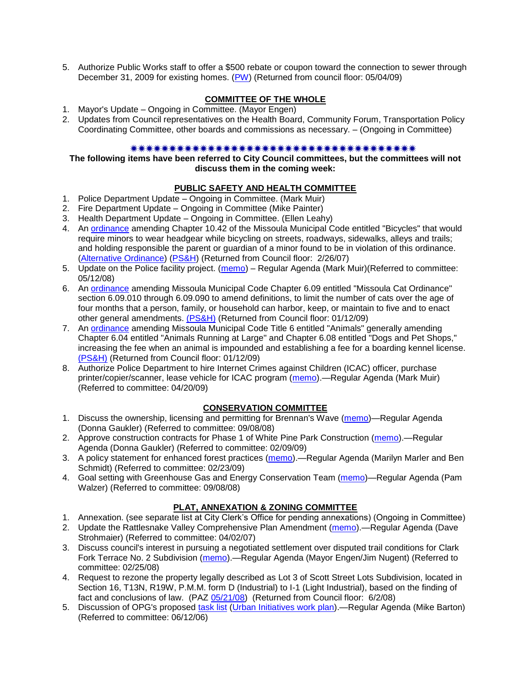5. Authorize Public Works staff to offer a \$500 rebate or coupon toward the connection to sewer through December 31, 2009 for existing homes. [\(PW\)](090429pw.doc) (Returned from council floor: 05/04/09)

# **COMMITTEE OF THE WHOLE**

- 1. Mayor's Update Ongoing in Committee. (Mayor Engen)
- 2. Updates from Council representatives on the Health Board, Community Forum, Transportation Policy Coordinating Committee, other boards and commissions as necessary. – (Ongoing in Committee)

#### 

**The following items have been referred to City Council committees, but the committees will not discuss them in the coming week:**

# **PUBLIC SAFETY AND HEALTH COMMITTEE**

- 1. Police Department Update Ongoing in Committee. (Mark Muir)
- 2. Fire Department Update Ongoing in Committee (Mike Painter)
- 3. Health Department Update Ongoing in Committee. (Ellen Leahy)
- 4. An [ordinance](ftp://ftp.ci.missoula.mt.us/Packets/Council/2007/2007-02-05/07-01-31 Helmet and bikes psh.htm) amending Chapter 10.42 of the Missoula Municipal Code entitled "Bicycles" that would require minors to wear headgear while bicycling on streets, roadways, sidewalks, alleys and trails; and holding responsible the parent or guardian of a minor found to be in violation of this ordinance. [\(Alternative Ordinance\)](ftp://ftp.ci.missoula.mt.us/Packets/Council/2007/2007-02-26/07-02-19_Alternative_Helmet_and_bikes.htm) [\(PS&H\)](ftp://ftp.ci.missoula.mt.us/Packets/Council/2007/2007-02-05/070131psh.pdf) (Returned from Council floor: 2/26/07)
- 5. Update on the Police facility project. [\(memo\)](ftp://ftp.ci.missoula.mt.us/Packets/Council/2008/2008-05-12/Referrals/Buildingpresentationreferral.htm) Regular Agenda (Mark Muir)(Referred to committee: 05/12/08)
- 6. An [ordinance](ftp://ftp.ci.missoula.mt.us/Packets/Council/2008/2008-12-15/2008CatOrdinanceAmendment%5B1%5D.pdf) amending Missoula Municipal Code Chapter 6.09 entitled "Missoula Cat Ordinance" section 6.09.010 through 6.09.090 to amend definitions, to limit the number of cats over the age of four months that a person, family, or household can harbor, keep, or maintain to five and to enact other general amendments. [\(PS&H\)](ftp://ftp.ci.missoula.mt.us/Packets/Council/2008/2008-12-15/081210psh.pdf) (Returned from Council floor: 01/12/09)
- 7. An [ordinance](ftp://ftp.ci.missoula.mt.us/Packets/Council/2008/2008-12-15/DogOrdinance--PSHrevisions.pdf) amending Missoula Municipal Code Title 6 entitled "Animals" generally amending Chapter 6.04 entitled "Animals Running at Large" and Chapter 6.08 entitled "Dogs and Pet Shops," increasing the fee when an animal is impounded and establishing a fee for a boarding kennel license. [\(PS&H\)](ftp://ftp.ci.missoula.mt.us/Packets/Council/2008/2008-12-15/081210psh.pdf) (Returned from Council floor: 01/12/09)
- 8. Authorize Police Department to hire Internet Crimes against Children (ICAC) officer, purchase printer/copier/scanner, lease vehicle for ICAC program [\(memo\)](ftp://ftp.ci.missoula.mt.us/Packets/Council/2009/2009-04-20/Referrals/ICACHiringEquipment.pdf).—Regular Agenda (Mark Muir) (Referred to committee: 04/20/09)

### **CONSERVATION COMMITTEE**

- 1. Discuss the ownership, licensing and permitting for Brennan's Wave [\(memo\)](ftp://ftp.ci.missoula.mt.us/Packets/Council/2008/2008-09-08/Referrals/ReferralBrennansWaveLicensing.pdf)—Regular Agenda (Donna Gaukler) (Referred to committee: 09/08/08)
- 2. Approve construction contracts for Phase 1 of White Pine Park Construction [\(memo\)](ftp://ftp.ci.missoula.mt.us/Packets/Council/2009/2009-02-09/Referrals/ReferralWhitePinePark/(2/).pdf).—Regular Agenda (Donna Gaukler) (Referred to committee: 02/09/09)
- 3. A policy statement for enhanced forest practices [\(memo\)](ftp://ftp.ci.missoula.mt.us/Packets/Council/2009/2009-02-23/Referrals/Forest_Practices_Referral.pdf).—Regular Agenda (Marilyn Marler and Ben Schmidt) (Referred to committee: 02/23/09)
- 4. Goal setting with Greenhouse Gas and Energy Conservation Team [\(memo\)](ftp://ftp.ci.missoula.mt.us/Packets/Council/2008/2008-09-08/Referrals/GGECTdialog.pdf)—Regular Agenda (Pam Walzer) (Referred to committee: 09/08/08)

### **PLAT, ANNEXATION & ZONING COMMITTEE**

- 1. Annexation. (see separate list at City Clerk's Office for pending annexations) (Ongoing in Committee)
- 2. Update the Rattlesnake Valley Comprehensive Plan Amendment [\(memo\)](ftp://ftp.ci.missoula.mt.us/Packets/Council/2007/2007-04-02/Referrals/Rattlesnake_Plan_Update_referral.pdf).—Regular Agenda (Dave Strohmaier) (Referred to committee: 04/02/07)
- 3. Discuss council's interest in pursuing a negotiated settlement over disputed trail conditions for Clark Fork Terrace No. 2 Subdivision [\(memo\)](ftp://ftp.ci.missoula.mt.us/Packets/Council/2008/2008-02-25/Referrals/Clark_Fork_Terrace_2.pdf).—Regular Agenda (Mayor Engen/Jim Nugent) (Referred to committee: 02/25/08)
- 4. Request to rezone the property legally described as Lot 3 of Scott Street Lots Subdivision, located in Section 16, T13N, R19W, P.M.M. form D (Industrial) to I-1 (Light Industrial), based on the finding of fact and conclusions of law. (PAZ [05/21/08\)](ftp://ftp.ci.missoula.mt.us/Packets/Council/2008/2008-06-02/080521paz.pdf) (Returned from Council floor: 6/2/08)
- 5. Discussion of OPG's proposed [task list](ftp://ftp.ci.missoula.mt.us/Packets/Council/2008/2008-07-07/UITaskList.pdf) [\(Urban Initiatives work plan\)](ftp://ftp.ci.missoula.mt.us/Packets/Council/2006/2006-06-12/Referrals/Urban_Init.htm).—Regular Agenda (Mike Barton) (Referred to committee: 06/12/06)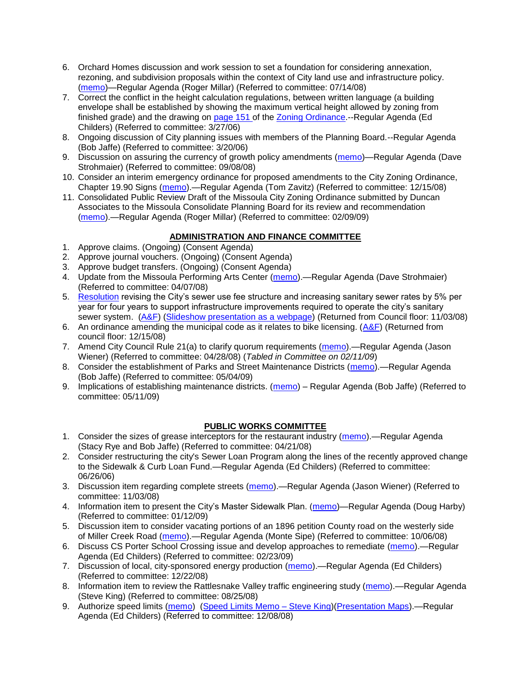- 6. Orchard Homes discussion and work session to set a foundation for considering annexation, rezoning, and subdivision proposals within the context of City land use and infrastructure policy. [\(memo\)](ftp://ftp.ci.missoula.mt.us/Packets/Council/2008/2008-07-14/Referrals/OrchardHomesDiscMemo.pdf)—Regular Agenda (Roger Millar) (Referred to committee: 07/14/08)
- 7. Correct the conflict in the height calculation regulations, between written language (a building envelope shall be established by showing the maximum vertical height allowed by zoning from finished grade) and the drawing on [page 151 o](ftp://www.co.missoula.mt.us/opg2/Documents/CurrentRegulations/CityZoningTitle19/CH19.67Hillside.pdf)f the [Zoning Ordinance.](ftp://www.co.missoula.mt.us/opg2/Documents/CurrentRegulations/CityZoningTitle19/CityOrdinanceLP.htm)--Regular Agenda (Ed Childers) (Referred to committee: 3/27/06)
- 8. Ongoing discussion of City planning issues with members of the Planning Board.--Regular Agenda (Bob Jaffe) (Referred to committee: 3/20/06)
- 9. Discussion on assuring the currency of growth policy amendments [\(memo\)](ftp://ftp.ci.missoula.mt.us/Packets/Council/2008/2008-09-08/Referrals/Plan_updates.pdf)—Regular Agenda (Dave Strohmaier) (Referred to committee: 09/08/08)
- 10. Consider an interim emergency ordinance for proposed amendments to the City Zoning Ordinance, Chapter 19.90 Signs [\(memo\)](ftp://ftp.ci.missoula.mt.us/Packets/Council/2008/2008-12-15/Referrals/ElectronicSignOrdinanceMemo.pdf).—Regular Agenda (Tom Zavitz) (Referred to committee: 12/15/08)
- 11. Consolidated Public Review Draft of the Missoula City Zoning Ordinance submitted by Duncan Associates to the Missoula Consolidate Planning Board for its review and recommendation [\(memo\)](ftp://ftp.ci.missoula.mt.us/Packets/Council/2009/2009-02-09/Referrals/CodeRewritetoPBMemo.pdf).—Regular Agenda (Roger Millar) (Referred to committee: 02/09/09)

### **ADMINISTRATION AND FINANCE COMMITTEE**

- 1. Approve claims. (Ongoing) (Consent Agenda)
- 2. Approve journal vouchers. (Ongoing) (Consent Agenda)
- 3. Approve budget transfers. (Ongoing) (Consent Agenda)
- 4. Update from the Missoula Performing Arts Center [\(memo\)](ftp://ftp.ci.missoula.mt.us/Packets/Council/2008/2008-04-07/Referrals/Performing_Arts_Center.pdf).—Regular Agenda (Dave Strohmaier) (Referred to committee: 04/07/08)
- 5. [Resolution](ftp://ftp.ci.missoula.mt.us/Packets/Council/2008/2008-09-22/referrals/Sewerrateresolution.pdf) revising the City's sewer use fee structure and increasing sanitary sewer rates by 5% per year for four years to support infrastructure improvements required to operate the city's sanitary sewer system. [\(A&F\)](ftp://ftp.ci.missoula.mt.us/Packets/Council/2008/2008-10-06/081001af.pdf) [\(Slideshow presentation as a webpage\)](ftp://ftp.ci.missoula.mt.us/Packets/Council/2008/2008-11-03/2008-11-03SewerUserRateIncrease_files/frame.htm) (Returned from Council floor: 11/03/08)
- 6. An ordinance amending the municipal code as it relates to bike licensing.  $(A&F)$  (Returned from council floor: 12/15/08)
- 7. Amend City Council Rule 21(a) to clarify quorum requirements [\(memo\)](ftp://ftp.ci.missoula.mt.us/Packets/Council/2008/2008-04-28/Referrals/CouncilRule21aReferral.pdf).—Regular Agenda (Jason Wiener) (Referred to committee: 04/28/08) (*Tabled in Committee on 02/11/09*)
- 8. Consider the establishment of Parks and Street Maintenance Districts [\(memo\)](ftp://ftp.ci.missoula.mt.us/Packets/Council/2009/2009-05-04/Referrals/MaintenanceDistricts.pdf).—Regular Agenda (Bob Jaffe) (Referred to committee: 05/04/09)
- 9. Implications of establishing maintenance districts. [\(memo\)](ftp://ftp.ci.missoula.mt.us/Packets/Council/2009/2009-05-11/Referrals/MaintenanceDistricts.pdf) Regular Agenda (Bob Jaffe) (Referred to committee: 05/11/09)

# **PUBLIC WORKS COMMITTEE**

- 1. Consider the sizes of grease interceptors for the restaurant industry [\(memo\)](ftp://ftp.ci.missoula.mt.us/Packets/Council/2008/2008-04-21/Referrals/Industrial_waste_restaurants.pdf).—Regular Agenda (Stacy Rye and Bob Jaffe) (Referred to committee: 04/21/08)
- 2. Consider restructuring the city's Sewer Loan Program along the lines of the recently approved change to the Sidewalk & Curb Loan Fund.—Regular Agenda (Ed Childers) (Referred to committee: 06/26/06)
- 3. Discussion item regarding complete streets [\(memo\)](ftp://ftp.ci.missoula.mt.us/Packets/Council/2008/2008-11-03/Referrals/completestreetsreferral.pdf).—Regular Agenda (Jason Wiener) (Referred to committee: 11/03/08)
- 4. Information item to present the City's Master Sidewalk Plan. [\(memo\)](ftp://ftp.ci.missoula.mt.us/packets/council/2009/2009-01-12/Referrals/MstrSdwlkPlnREF.pdf)—Regular Agenda (Doug Harby) (Referred to committee: 01/12/09)
- 5. Discussion item to consider vacating portions of an 1896 petition County road on the westerly side of Miller Creek Road [\(memo\)](ftp://ftp.ci.missoula.mt.us/packets/council/2008/2008-10-06/Referrals/MllrCkROWVacREF.pdf).—Regular Agenda (Monte Sipe) (Referred to committee: 10/06/08)
- 6. Discuss CS Porter School Crossing issue and develop approaches to remediate [\(memo\)](ftp://ftp.ci.missoula.mt.us/Packets/Council/2009/2009-02-23/Referrals/ReferralCSPorter.pdf).—Regular Agenda (Ed Childers) (Referred to committee: 02/23/09)
- 7. Discussion of local, city-sponsored energy production [\(memo\)](ftp://ftp.ci.missoula.mt.us/Packets/Council/2008/2008-12-22/Referrals/LocaLPowerReferral.pdf).—Regular Agenda (Ed Childers) (Referred to committee: 12/22/08)
- 8. Information item to review the Rattlesnake Valley traffic engineering study [\(memo\)](ftp://ftp.ci.missoula.mt.us/packets/council/2008/2008-08-25/Referrals/RsnakeTrfficStudyREF.pdf).—Regular Agenda (Steve King) (Referred to committee: 08/25/08)
- 9. Authorize speed limits [\(memo\)](ftp://ftp.ci.missoula.mt.us/Packets/Council/2008/2008-12-08/Referrals/ReferralAuthorizeSpeedLimits.pdf) [\(Speed Limits Memo –](ftp://ftp.ci.missoula.mt.us/packets/council/2008/2008-12-15/Referrals/SpeedLimitMemo.pdf) Steve King)[\(Presentation Maps\)](ftp://ftp.ci.missoula.mt.us/packets/council/2009/2009-01-05/Referrals/SpeedPresentation.pdf).—Regular Agenda (Ed Childers) (Referred to committee: 12/08/08)